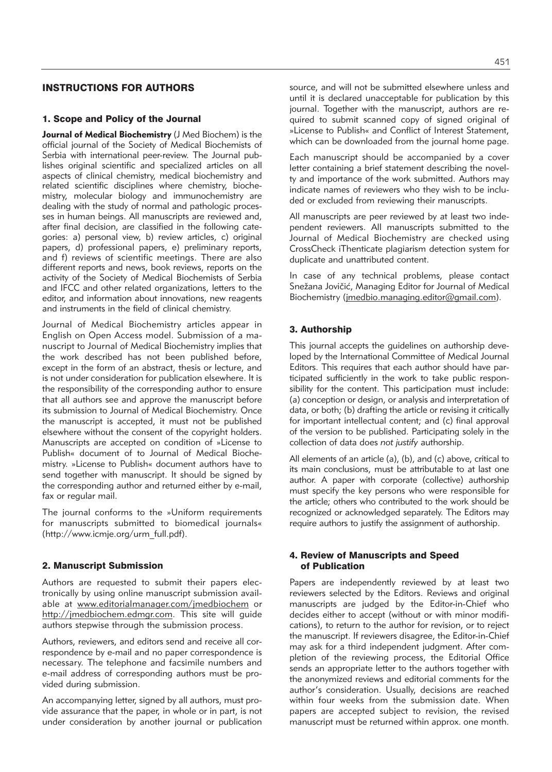# INSTRUCTIONS FOR AUTHORS

#### 1. Scope and Policy of the Journal

**Journal of Medical Biochemistry** (J Med Biochem) is the official journal of the Society of Medical Biochemists of Serbia with international peer-review. The Journal publishes original scientific and specialized articles on all aspects of clinical chemistry, medical biochemistry and related scientific disciplines where chemistry, biochemistry, molecular biology and immunochemistry are dealing with the study of normal and pathologic processes in human beings. All manuscripts are reviewed and, after final decision, are classified in the following categories: a) personal view, b) review articles, c) original papers, d) professional papers, e) preliminary reports, and f) reviews of scientific meetings. There are also different reports and news, book reviews, reports on the activity of the Society of Medical Biochemists of Serbia and IFCC and other related organizations, letters to the editor, and information about innovations, new reagents and instruments in the field of clinical chemistry.

Journal of Medical Biochemistry articles appear in English on Open Access model. Submission of a manu script to Journal of Medical Biochemistry implies that the work described has not been published before, except in the form of an abstract, thesis or lecture, and is not under consideration for publication elsewhere. It is the responsibility of the corresponding author to ensure that all authors see and approve the manuscript before its submission to Journal of Medical Biochemistry. Once the manuscript is accepted, it must not be published elsewhere without the consent of the copyright holders. Manuscripts are accepted on condition of »License to Publish« document of to Journal of Medical Biochemistry. »License to Publish« document authors have to send together with manuscript. It should be signed by the corresponding author and returned either by e-mail, fax or regular mail.

The journal conforms to the »Uniform requirements for manuscripts submitted to biomedical journals« (http://www.icmje.org/urm\_full.pdf).

#### 2. Manuscript Submission

Authors are requested to submit their papers electronically by using online manuscript submission available at www.editorialmanager.com/jmedbiochem or http://jmedbiochem.edmgr.com. This site will guide authors stepwise through the submission process.

Authors, reviewers, and editors send and receive all correspondence by e-mail and no paper correspondence is necessary. The telephone and facsimile numbers and e-mail address of corresponding authors must be provided during submission.

An accompanying letter, signed by all authors, must provide assurance that the paper, in whole or in part, is not under consideration by another journal or publication source, and will not be submitted elsewhere unless and until it is declared unacceptable for publication by this journal. Together with the manuscript, authors are required to submit scanned copy of signed original of »License to Publish« and Conflict of Interest Statement, which can be downloaded from the journal home page.

Each manuscript should be accompanied by a cover letter containing a brief statement describing the novelty and importance of the work submitted. Authors may indicate names of reviewers who they wish to be included or excluded from reviewing their manuscripts.

All manuscripts are peer reviewed by at least two independent reviewers. All manuscripts submitted to the Journal of Medical Biochemistry are checked using CrossCheck iThenticate plagiarism detection system for duplicate and unattributed content.

In case of any technical problems, please contact Snežana Jovičić, Managing Editor for Journal of Medical Biochemistry (jmedbio.managing.editor@gmail.com).

## 3. Authorship

This journal accepts the quidelines on authorship developed by the International Committee of Medical Journal Editors. This requires that each author should have participated sufficiently in the work to take public responsibility for the content. This participation must include: (a) conception or design, or analysis and interpretation of data, or both; (b) drafting the article or revising it critically for important intellectual content; and (c) final approval of the version to be published. Participating solely in the collection of data does *not justify* authorship.

All elements of an article (a), (b), and (c) above, critical to its main conclusions, must be attributable to at last one author. A paper with corporate (collective) authorship must specify the key persons who were responsible for the article; others who contributed to the work should be re cognized or acknowledged separately. The Editors may require authors to justify the assignment of authorship.

#### 4. Review of Manuscripts and Speed of Publication

Papers are independently reviewed by at least two reviewers selected by the Editors. Reviews and original manuscripts are judged by the Editor-in-Chief who decides either to accept (without or with minor modifications), to return to the author for revision, or to reject the manuscript. If reviewers disagree, the Editor-in-Chief may ask for a third independent judgment. After completion of the reviewing process, the Editorial Office sends an appropriate letter to the authors together with the anonymized reviews and editorial comments for the author's consideration. Usually, decisions are reached within four weeks from the submission date. When papers are accepted subject to revision, the revised manuscript must be returned within approx. one month.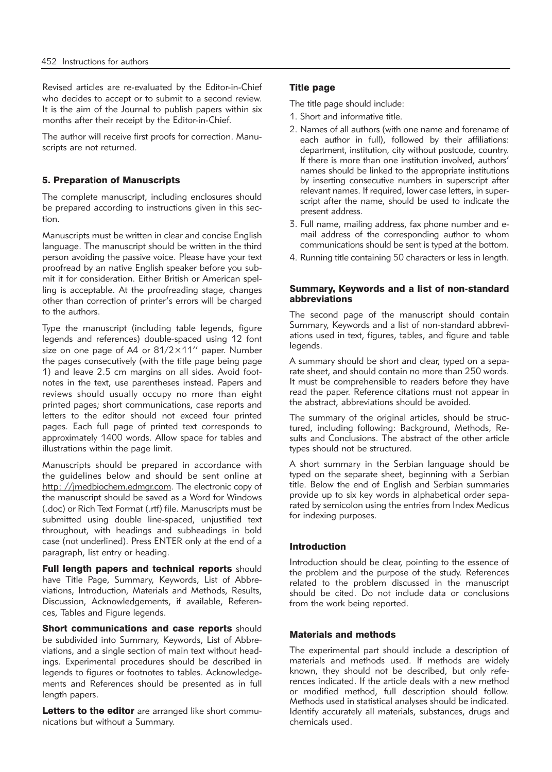Revised articles are re-evaluated by the Editor-in-Chief who decides to accept or to submit to a second review. It is the aim of the Journal to publish papers within six months after their receipt by the Editor-in-Chief.

The author will receive first proofs for correction. Manuscripts are not returned.

## 5. Preparation of Manuscripts

The complete manuscript, including enclosures should be prepared according to instructions given in this section.

Manuscripts must be written in clear and concise English language. The manuscript should be written in the third person avoiding the passive voice. Please have your text proofread by an native English speaker before you submit it for consideration. Either British or American spelling is acceptable. At the proofreading stage, changes other than correction of printer's errors will be charged to the authors.

Type the manuscript (including table legends, figure legends and references) double-spaced using 12 font size on one page of A4 or 81/2×11'' paper. Number the pages consecutively (with the title page being page 1) and leave 2.5 cm margins on all sides. Avoid footnotes in the text, use parentheses instead. Papers and reviews should usually occupy no more than eight printed pages; short communications, case reports and letters to the editor should not exceed four printed pages. Each full page of printed text corresponds to approximately 1400 words. Allow space for tables and illustrations within the page limit.

Manuscripts should be prepared in accordance with the guidelines below and should be sent online at http: //jmedbiochem.edmgr.com. The electronic copy of the manuscript should be saved as a Word for Windows (.doc) or Rich Text Format (.rtf) file. Manuscripts must be submitted using double line-spaced, unjustified text throughout, with headings and subheadings in bold case (not underlined). Press ENTER only at the end of a paragraph, list entry or heading.

Full length papers and technical reports should have Title Page, Summary, Keywords, List of Abbreviations, Introduction, Materials and Methods, Results, Discussion, Acknowledgements, if available, References, Tables and Figure legends.

Short communications and case reports should be subdivided into Summary, Keywords, List of Abbreviations, and a single section of main text without headings. Experimental procedures should be described in legends to figures or footnotes to tables. Acknowledgements and References should be presented as in full length papers.

Letters to the editor are arranged like short communications but without a Summary.

## Title page

The title page should include:

- 1. Short and informative title.
- 2. Names of all authors (with one name and forename of each author in full), followed by their affiliations: department, institution, city without postcode, country. If there is more than one institution involved, authors' names should be linked to the appropriate institutions by inserting consecutive numbers in superscript after relevant names. If required, lower case letters, in superscript after the name, should be used to indicate the present address.
- 3. Full name, mailing address, fax phone number and email address of the corresponding author to whom communications should be sent is typed at the bottom.
- 4. Running title containing 50 characters or less in length.

#### Summary, Keywords and a list of non-standard abbreviations

The second page of the manuscript should contain Summary, Keywords and a list of non-standard abbreviations used in text, figures, tables, and figure and table legends.

A summary should be short and clear, typed on a separate sheet, and should contain no more than 250 words. It must be comprehensible to readers before they have read the paper. Reference citations must not appear in the abstract, abbreviations should be avoided.

The summary of the original articles, should be structured, including following: Background, Methods, Results and Conclusions. The abstract of the other article types should not be structured.

A short summary in the Serbian language should be typed on the separate sheet, beginning with a Serbian title. Below the end of English and Serbian summaries provide up to six key words in alphabetical order separated by semicolon using the entries from Index Medicus for indexing purposes.

## Introduction

Introduction should be clear, pointing to the essence of the problem and the purpose of the study. References related to the problem discussed in the manuscript should be cited. Do not include data or conclusions from the work being reported.

#### Materials and methods

The experimental part should include a description of materials and methods used. If methods are widely known, they should not be described, but only references indicated. If the article deals with a new method or modified method, full description should follow. Methods used in statistical analyses should be indicated. Identify accurately all materials, substances, drugs and chemicals used.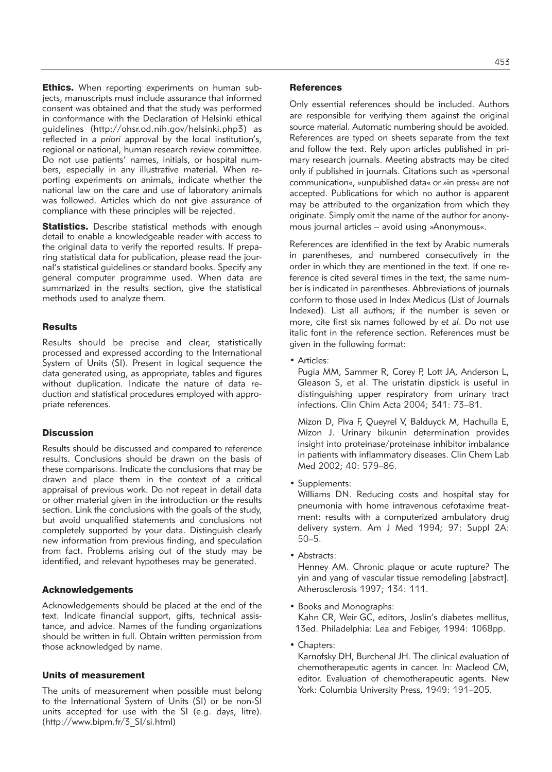**Ethics.** When reporting experiments on human subjects, manuscripts must include assurance that informed consent was obtained and that the study was performed in conformance with the Declaration of Helsinki ethical guidelines (http://ohsr.od.nih.gov/helsinki.php3) as reflected in *a priori* approval by the local institution's, regional or national, human research review committee. Do not use patients' names, initials, or hospital numbers, especially in any illustrative material. When reporting experiments on animals, indicate whether the national law on the care and use of laboratory animals was followed. Articles which do not give assurance of compliance with these principles will be rejected.

**Statistics.** Describe statistical methods with enough detail to enable a knowledgeable reader with access to the original data to verify the reported results. If preparing statistical data for publication, please read the journal's statistical guidelines or standard books. Specify any general computer programme used. When data are summarized in the results section, give the statistical methods used to analyze them.

#### **Results**

Results should be precise and clear, statistically processed and expressed according to the International System of Units (SI). Present in logical sequence the data generated using, as appropriate, tables and figures without duplication. Indicate the nature of data reduction and statistical procedures employed with appropriate references.

## **Discussion**

Results should be discussed and compared to reference results. Conclusions should be drawn on the basis of these comparisons. Indicate the conclusions that may be drawn and place them in the context of a critical appraisal of previous work. Do not repeat in detail data or other material given in the introduction or the results section. Link the conclusions with the goals of the study, but avoid unqualified statements and conclusions not completely supported by your data. Distinguish clearly new information from previous finding, and speculation from fact. Problems arising out of the study may be identified, and relevant hypotheses may be generated.

#### Acknowledgements

Acknowledgements should be placed at the end of the text. Indicate financial support, gifts, technical assistance, and advice. Names of the funding organizations should be written in full. Obtain written permission from those acknowledged by name.

## Units of measurement

The units of measurement when possible must belong to the International System of Units (SI) or be non-SI units accepted for use with the SI (e.g. days, litre). (http://www.bipm.fr/3\_SI/si.html)

#### **References**

Only essential references should be included. Authors are responsible for verifying them against the original source material. Automatic numbering should be avoided. References are typed on sheets separate from the text and follow the text. Rely upon articles published in primary research journals. Meeting abstracts may be cited only if published in journals. Citations such as »personal communication«, »unpublished data« or »in press« are not accepted. Publications for which no author is apparent may be attributed to the organization from which they originate. Simply omit the name of the author for anonymous journal articles – avoid using »Anonymous«.

References are identified in the text by Arabic numerals in parentheses, and numbered consecutively in the order in which they are mentioned in the text. If one reference is cited several times in the text, the same number is indicated in parentheses. Abbreviations of journals conform to those used in Index Medicus (List of Journals Indexed). List all authors; if the number is seven or more, cite first six names followed by *et al*. Do not use italic font in the reference section. References must be given in the following format:

• Articles:

Pugia MM, Sammer R, Corey P, Lott JA, Anderson L, Gleason S, et al. The uristatin dipstick is useful in distinguishing upper respiratory from urinary tract infections. Clin Chim Acta 2004; 341: 73–81.

Mizon D, Piva F, Queyrel V, Balduyck M, Hachulla E, Mizon J. Urinary bikunin determination provides insight into proteinase/proteinase inhibitor imbalance in patients with inflammatory diseases. Clin Chem Lab Med 2002; 40: 579–86.

• Supplements:

Williams DN. Reducing costs and hospital stay for pneumonia with home intravenous cefotaxime treatment: results with a computerized ambulatory drug delivery system. Am J Med 1994; 97: Suppl 2A: 50–5.

• Abstracts:

Henney AM. Chronic plaque or acute rupture? The yin and yang of vascular tissue remodeling [abstract]. Atherosclerosis 1997; 134: 111.

• Books and Monographs:

Kahn CR, Weir GC, editors, Joslin's diabetes mellitus, 13ed. Philadelphia: Lea and Febiger, 1994: 1068pp.

• Chapters:

Karnofsky DH, Burchenal JH. The clinical evaluation of chemotherapeutic agents in cancer. In: Macleod CM, editor. Evaluation of chemotherapeutic agents. New York: Columbia University Press, 1949: 191–205.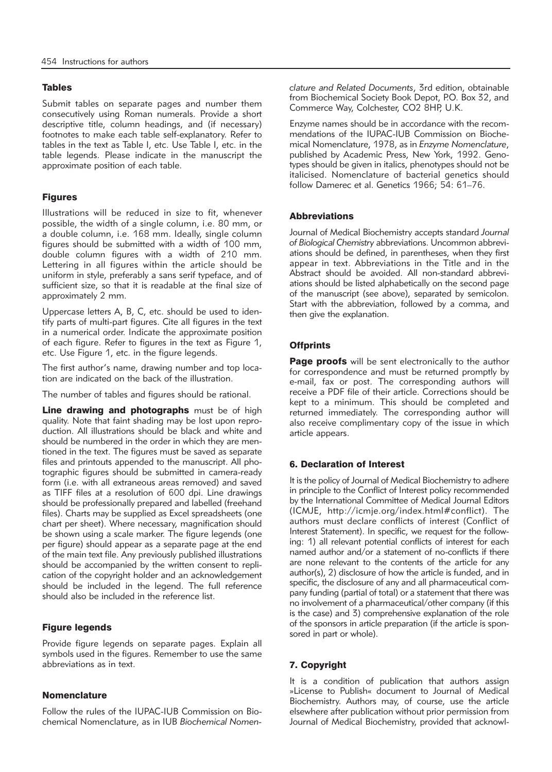## **Tables**

Submit tables on separate pages and number them consecutively using Roman numerals. Provide a short descriptive title, column headings, and (if necessary) footnotes to make each table self-explanatory. Refer to tables in the text as Table I, etc. Use Table I, etc. in the table legends. Please indicate in the manuscript the approximate position of each table.

# Figures

Illustrations will be reduced in size to fit, whenever possible, the width of a single column, i.e. 80 mm, or a double column, i.e. 168 mm. Ideally, single column figures should be submitted with a width of 100 mm, double column figures with a width of 210 mm. Lettering in all figures within the article should be uniform in style, preferably a sans serif typeface, and of sufficient size, so that it is readable at the final size of approximately 2 mm.

Uppercase letters A, B, C, etc. should be used to identify parts of multi-part figures. Cite all figures in the text in a numerical order. Indicate the approximate position of each figure. Refer to figures in the text as Figure 1, etc. Use Figure 1, etc. in the figure legends.

The first author's name, drawing number and top location are indicated on the back of the illustration.

The number of tables and figures should be rational.

Line drawing and photographs must be of high quality. Note that faint shading may be lost upon reproduction. All illustrations should be black and white and should be numbered in the order in which they are mentioned in the text. The figures must be saved as separate files and printouts appended to the manuscript. All photographic figures should be submitted in camera-ready form (i.e. with all extraneous areas removed) and saved as TIFF files at a resolution of 600 dpi. Line drawings should be professionally prepared and labelled (freehand files). Charts may be supplied as Excel spreadsheets (one chart per sheet). Where necessary, magnification should be shown using a scale marker. The figure legends (one per figure) should appear as a separate page at the end of the main text file. Any previously published illustrations should be accompanied by the written consent to replication of the copyright holder and an acknowledgement should be included in the legend. The full reference should also be included in the reference list.

#### Figure legends

Provide figure legends on separate pages. Explain all symbols used in the figures. Remember to use the same abbreviations as in text.

## **Nomenclature**

Follow the rules of the IUPAC-IUB Commission on Biochemical Nomenclature, as in IUB *Biochemical Nomen -* *clature and Related Documents*, 3rd edition, obtainable from Biochemical Society Book Depot, P.O. Box 32, and Commerce Way, Colchester, CO2 8HP, U.K.

Enzyme names should be in accordance with the recommendations of the IUPAC-IUB Commission on Biochemical Nomenclature, 1978, as in *Enzyme Nomenclature*, published by Academic Press, New York, 1992. Genotypes should be given in italics, phenotypes should not be italicised. Nomenclature of bacterial genetics should follow Damerec et al. Genetics 1966; 54: 61–76.

## **Abbreviations**

Journal of Medical Biochemistry accepts standard *Journal* of Biological Chemistry abbreviations. Uncommon abbreviations should be defined, in parentheses, when they first appear in text. Abbreviations in the Title and in the Abstract should be avoided. All non-standard abbreviations should be listed alphabetically on the second page of the manuscript (see above), separated by semicolon. Start with the abbreviation, followed by a comma, and then give the explanation.

# **Offprints**

Page proofs will be sent electronically to the author for correspondence and must be returned promptly by e-mail, fax or post. The corresponding authors will receive a PDF file of their article. Corrections should be kept to a minimum. This should be completed and returned immediately. The corresponding author will also receive complimentary copy of the issue in which article appears.

# 6. Declaration of Interest

It is the policy of Journal of Medical Biochemistry to adhere in principle to the Conflict of Interest policy recommended by the International Committee of Medical Journal Editors (ICMJE, http://icmje.org/index.html#conflict). The authors must declare conflicts of interest (Conflict of Interest Statement). In specific, we request for the following: 1) all relevant potential conflicts of interest for each named author and/or a statement of no-conflicts if there are none relevant to the contents of the article for any author(s), 2) disclosure of how the article is funded, and in specific, the disclosure of any and all pharmaceutical company funding (partial of total) or a statement that there was no involvement of a pharmaceutical/other company (if this is the case) and 3) comprehensive explanation of the role of the sponsors in article preparation (if the article is sponsored in part or whole).

# 7. Copyright

It is a condition of publication that authors assign »License to Publish« document to Journal of Medical Biochemistry. Authors may, of course, use the article elsewhere after publication without prior permission from Journal of Medical Biochemistry, provided that acknowl